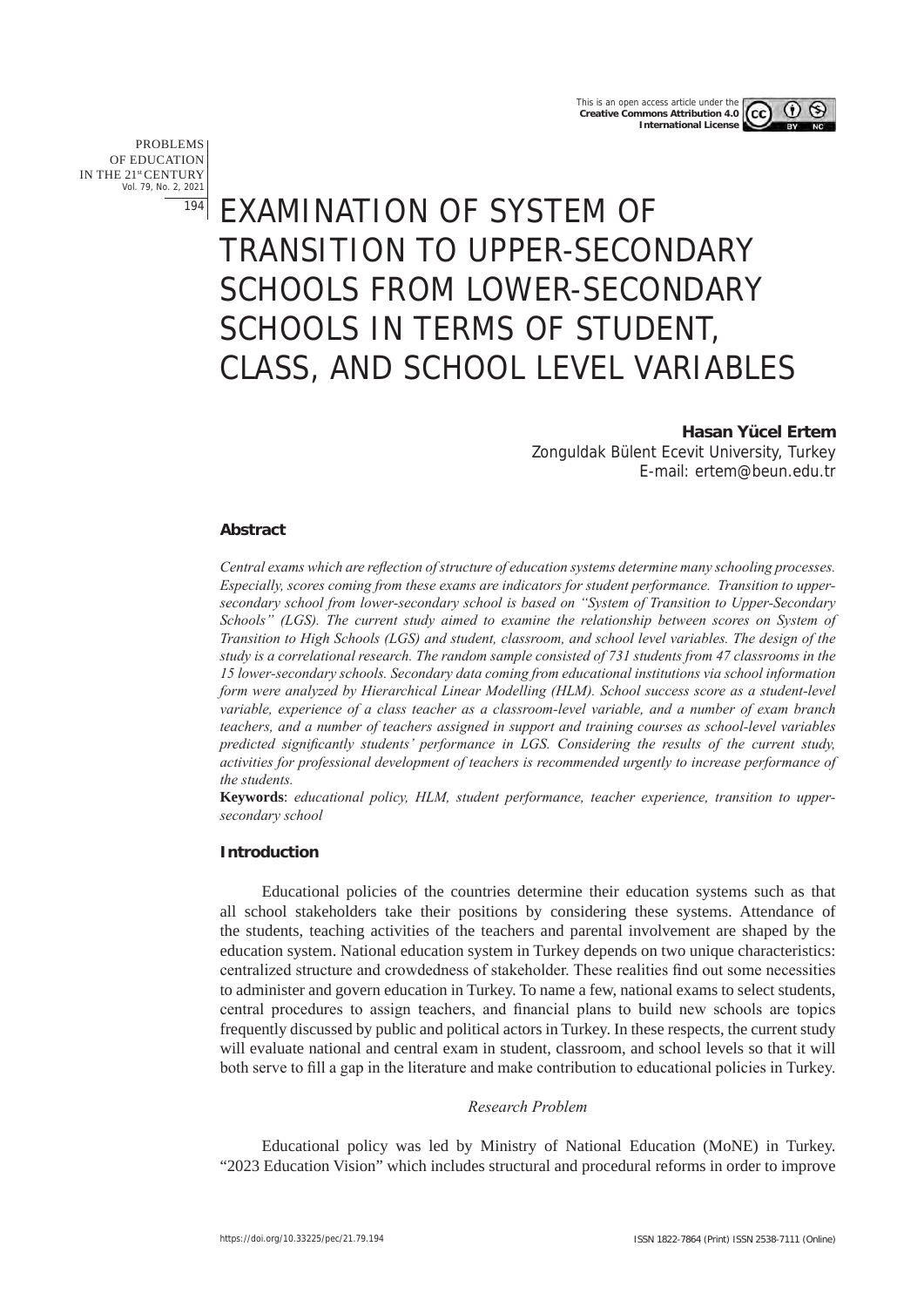PROBLEMS OF EDUCATION IN THE 21st CENTURY Vol. 79, No. 2, 2021 194

# EXAMINATION OF SYSTEM OF TRANSITION TO UPPER-SECONDARY SCHOOLS FROM LOWER-SECONDARY SCHOOLS IN TERMS OF STUDENT, CLASS, AND SCHOOL LEVEL VARIABLES

# **Hasan Yücel Ertem**

Zonguldak Bülent Ecevit University, Turkey E-mail: ertem@beun.edu.tr

# **Abstract**

*Central exams which are reflection of structure of education systems determine many schooling processes. Especially, scores coming from these exams are indicators for student performance. Transition to uppersecondary school from lower-secondary school is based on "System of Transition to Upper-Secondary Schools" (LGS). The current study aimed to examine the relationship between scores on System of Transition to High Schools (LGS) and student, classroom, and school level variables. The design of the study is a correlational research. The random sample consisted of 731 students from 47 classrooms in the 15 lower-secondary schools. Secondary data coming from educational institutions via school information form were analyzed by Hierarchical Linear Modelling (HLM). School success score as a student-level variable, experience of a class teacher as a classroom-level variable, and a number of exam branch teachers, and a number of teachers assigned in support and training courses as school-level variables predicted significantly students' performance in LGS. Considering the results of the current study, activities for professional development of teachers is recommended urgently to increase performance of the students.* 

**Keywords**: *educational policy, HLM, student performance, teacher experience, transition to uppersecondary school*

# **Introduction**

Educational policies of the countries determine their education systems such as that all school stakeholders take their positions by considering these systems. Attendance of the students, teaching activities of the teachers and parental involvement are shaped by the education system. National education system in Turkey depends on two unique characteristics: centralized structure and crowdedness of stakeholder. These realities find out some necessities to administer and govern education in Turkey. To name a few, national exams to select students, central procedures to assign teachers, and financial plans to build new schools are topics frequently discussed by public and political actors in Turkey. In these respects, the current study will evaluate national and central exam in student, classroom, and school levels so that it will both serve to fill a gap in the literature and make contribution to educational policies in Turkey.

# *Research Problem*

Educational policy was led by Ministry of National Education (MoNE) in Turkey. "2023 Education Vision" which includes structural and procedural reforms in order to improve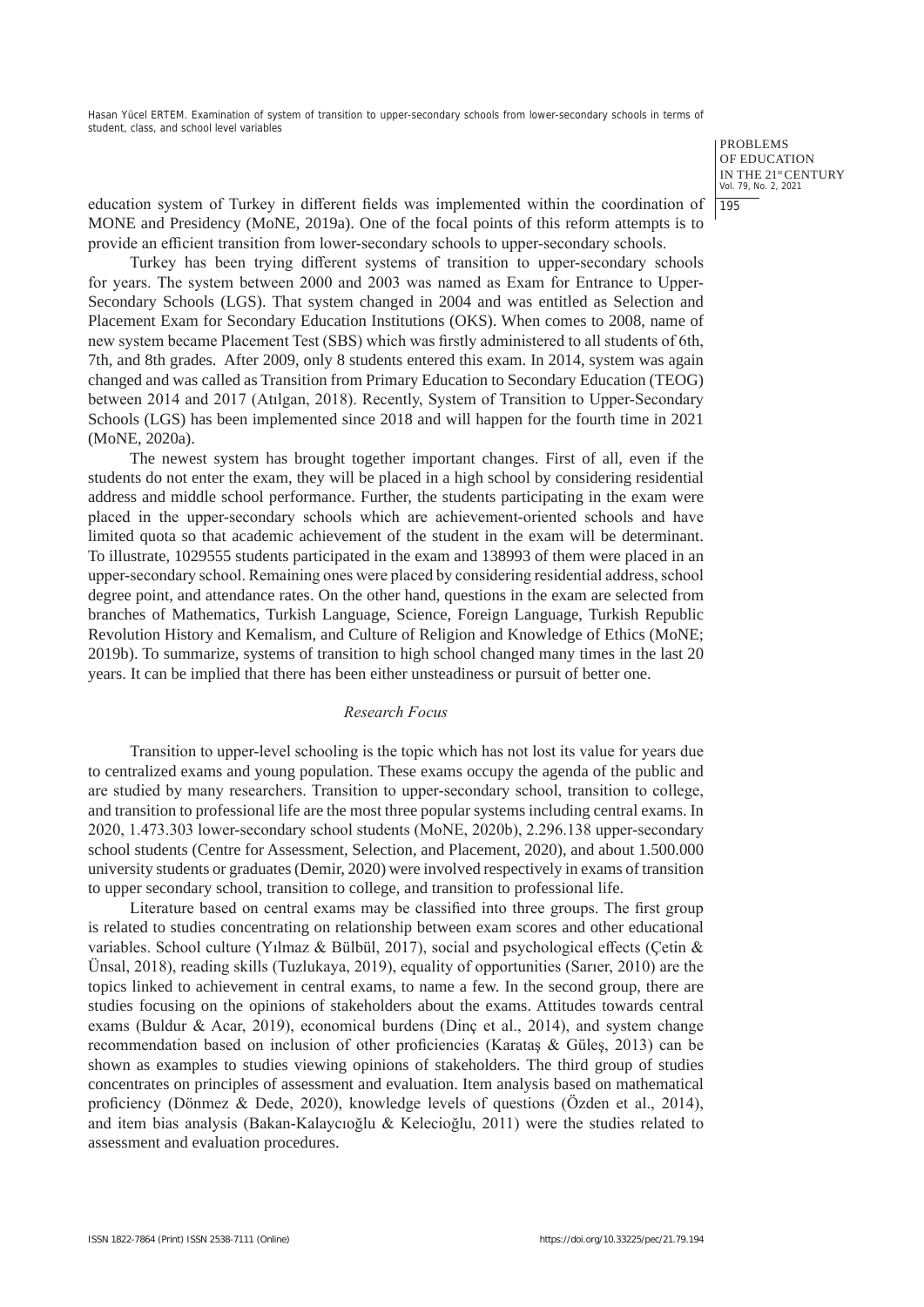> PROBLEMS OF EDUCATION IN THE 21st CENTURY Vol. 79, No. 2, 2021 195

education system of Turkey in different fields was implemented within the coordination of MONE and Presidency (MoNE, 2019a). One of the focal points of this reform attempts is to provide an efficient transition from lower-secondary schools to upper-secondary schools.

Turkey has been trying different systems of transition to upper-secondary schools for years. The system between 2000 and 2003 was named as Exam for Entrance to Upper-Secondary Schools (LGS). That system changed in 2004 and was entitled as Selection and Placement Exam for Secondary Education Institutions (OKS). When comes to 2008, name of new system became Placement Test (SBS) which was firstly administered to all students of 6th, 7th, and 8th grades. After 2009, only 8 students entered this exam. In 2014, system was again changed and was called as Transition from Primary Education to Secondary Education (TEOG) between 2014 and 2017 (Atılgan, 2018). Recently, System of Transition to Upper-Secondary Schools (LGS) has been implemented since 2018 and will happen for the fourth time in 2021 (MoNE, 2020a).

The newest system has brought together important changes. First of all, even if the students do not enter the exam, they will be placed in a high school by considering residential address and middle school performance. Further, the students participating in the exam were placed in the upper-secondary schools which are achievement-oriented schools and have limited quota so that academic achievement of the student in the exam will be determinant. To illustrate, 1029555 students participated in the exam and 138993 of them were placed in an upper-secondary school. Remaining ones were placed by considering residential address, school degree point, and attendance rates. On the other hand, questions in the exam are selected from branches of Mathematics, Turkish Language, Science, Foreign Language, Turkish Republic Revolution History and Kemalism, and Culture of Religion and Knowledge of Ethics (MoNE; 2019b). To summarize, systems of transition to high school changed many times in the last 20 years. It can be implied that there has been either unsteadiness or pursuit of better one.

# *Research Focus*

Transition to upper-level schooling is the topic which has not lost its value for years due to centralized exams and young population. These exams occupy the agenda of the public and are studied by many researchers. Transition to upper-secondary school, transition to college, and transition to professional life are the most three popular systems including central exams. In 2020, 1.473.303 lower-secondary school students (MoNE, 2020b), 2.296.138 upper-secondary school students (Centre for Assessment, Selection, and Placement, 2020), and about 1.500.000 university students or graduates (Demir, 2020) were involved respectively in exams of transition to upper secondary school, transition to college, and transition to professional life.

Literature based on central exams may be classified into three groups. The first group is related to studies concentrating on relationship between exam scores and other educational variables. School culture (Yılmaz & Bülbül, 2017), social and psychological effects (Çetin & Ünsal, 2018), reading skills (Tuzlukaya, 2019), equality of opportunities (Sarıer, 2010) are the topics linked to achievement in central exams, to name a few. In the second group, there are studies focusing on the opinions of stakeholders about the exams. Attitudes towards central exams (Buldur & Acar, 2019), economical burdens (Dinç et al., 2014), and system change recommendation based on inclusion of other proficiencies (Karataş & Güleş, 2013) can be shown as examples to studies viewing opinions of stakeholders. The third group of studies concentrates on principles of assessment and evaluation. Item analysis based on mathematical proficiency (Dönmez & Dede, 2020), knowledge levels of questions (Özden et al., 2014), and item bias analysis (Bakan-Kalaycıoğlu & Kelecioğlu, 2011) were the studies related to assessment and evaluation procedures.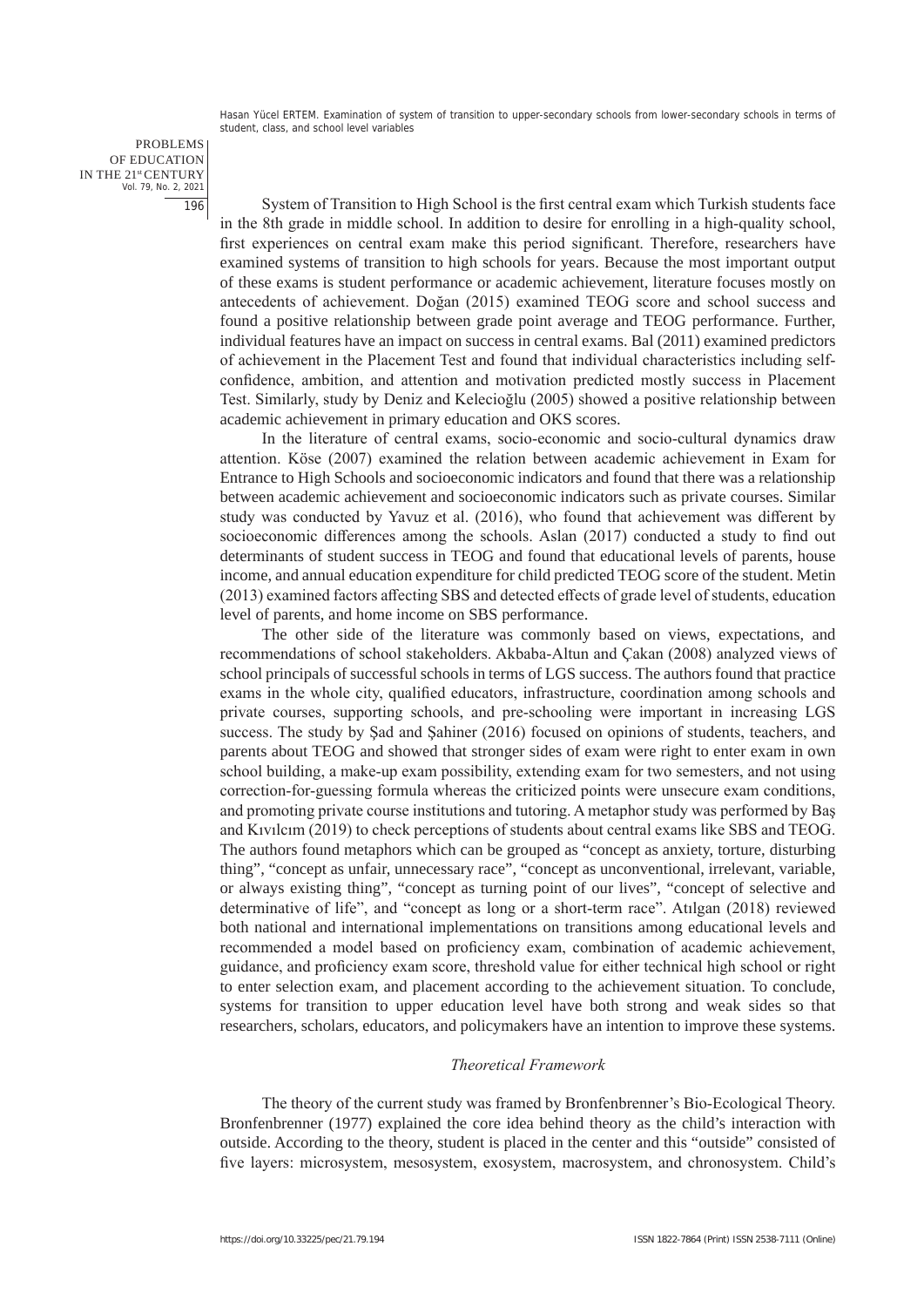PROBLEMS OF EDUCATION IN THE 21st CENTURY Vol. 79, No. 2, 2021 196

System of Transition to High School is the first central exam which Turkish students face in the 8th grade in middle school. In addition to desire for enrolling in a high-quality school, first experiences on central exam make this period significant. Therefore, researchers have examined systems of transition to high schools for years. Because the most important output of these exams is student performance or academic achievement, literature focuses mostly on antecedents of achievement. Doğan (2015) examined TEOG score and school success and found a positive relationship between grade point average and TEOG performance. Further, individual features have an impact on success in central exams. Bal (2011) examined predictors of achievement in the Placement Test and found that individual characteristics including selfconfidence, ambition, and attention and motivation predicted mostly success in Placement Test. Similarly, study by Deniz and Kelecioğlu (2005) showed a positive relationship between academic achievement in primary education and OKS scores.

In the literature of central exams, socio-economic and socio-cultural dynamics draw attention. Köse (2007) examined the relation between academic achievement in Exam for Entrance to High Schools and socioeconomic indicators and found that there was a relationship between academic achievement and socioeconomic indicators such as private courses. Similar study was conducted by Yavuz et al. (2016), who found that achievement was different by socioeconomic differences among the schools. Aslan (2017) conducted a study to find out determinants of student success in TEOG and found that educational levels of parents, house income, and annual education expenditure for child predicted TEOG score of the student. Metin (2013) examined factors affecting SBS and detected effects of grade level of students, education level of parents, and home income on SBS performance.

The other side of the literature was commonly based on views, expectations, and recommendations of school stakeholders. Akbaba-Altun and Çakan (2008) analyzed views of school principals of successful schools in terms of LGS success. The authors found that practice exams in the whole city, qualified educators, infrastructure, coordination among schools and private courses, supporting schools, and pre-schooling were important in increasing LGS success. The study by Şad and Şahiner (2016) focused on opinions of students, teachers, and parents about TEOG and showed that stronger sides of exam were right to enter exam in own school building, a make-up exam possibility, extending exam for two semesters, and not using correction-for-guessing formula whereas the criticized points were unsecure exam conditions, and promoting private course institutions and tutoring. A metaphor study was performed by Baş and Kıvılcım (2019) to check perceptions of students about central exams like SBS and TEOG. The authors found metaphors which can be grouped as "concept as anxiety, torture, disturbing thing", "concept as unfair, unnecessary race", "concept as unconventional, irrelevant, variable, or always existing thing", "concept as turning point of our lives", "concept of selective and determinative of life", and "concept as long or a short-term race". Atılgan (2018) reviewed both national and international implementations on transitions among educational levels and recommended a model based on proficiency exam, combination of academic achievement, guidance, and proficiency exam score, threshold value for either technical high school or right to enter selection exam, and placement according to the achievement situation. To conclude, systems for transition to upper education level have both strong and weak sides so that researchers, scholars, educators, and policymakers have an intention to improve these systems.

# *Theoretical Framework*

The theory of the current study was framed by Bronfenbrenner's Bio-Ecological Theory. Bronfenbrenner (1977) explained the core idea behind theory as the child's interaction with outside. According to the theory, student is placed in the center and this "outside" consisted of five layers: microsystem, mesosystem, exosystem, macrosystem, and chronosystem. Child's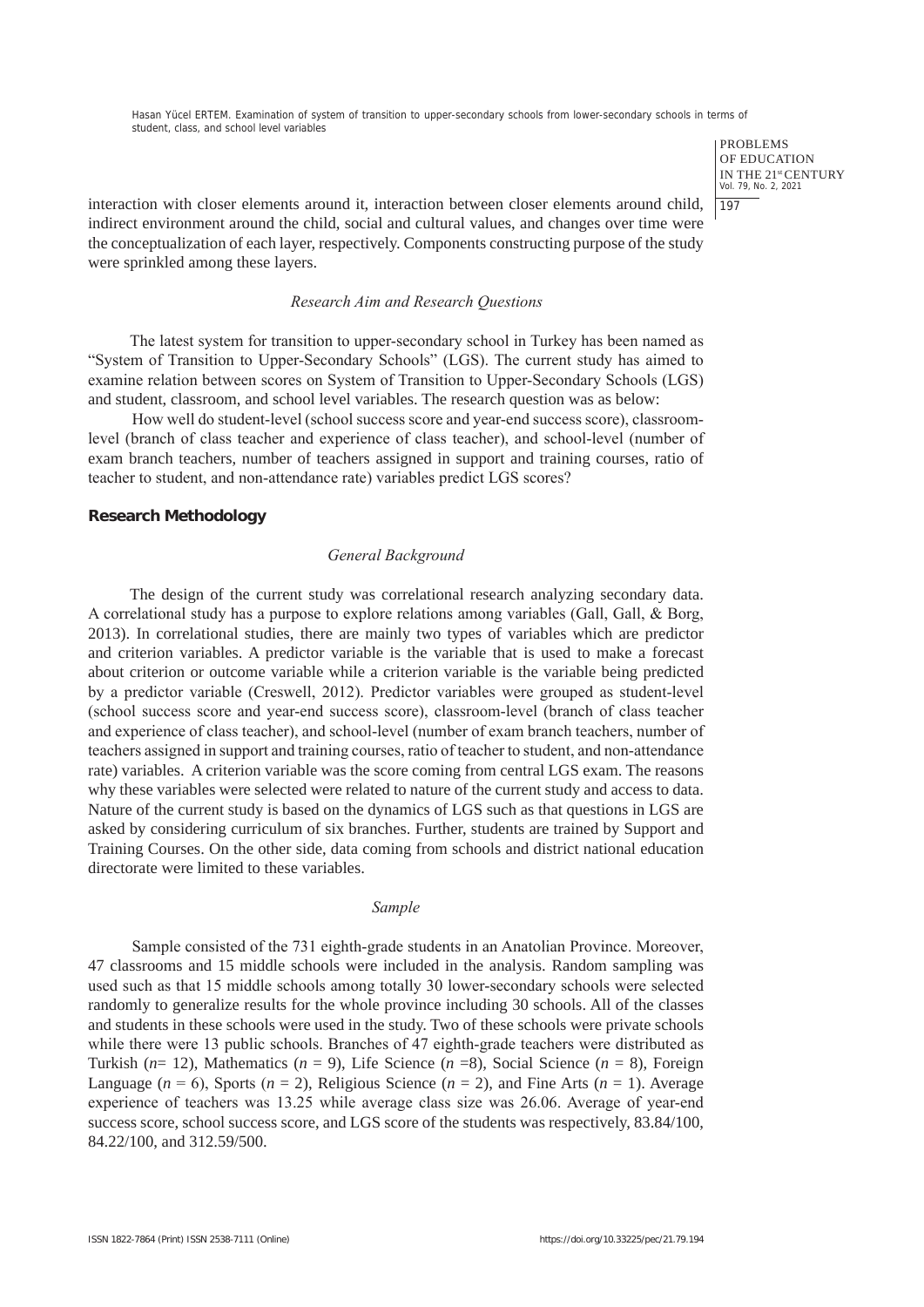> PROBLEMS OF EDUCATION IN THE 21st CENTURY Vol. 79, No. 2, 2021 197

interaction with closer elements around it, interaction between closer elements around child, indirect environment around the child, social and cultural values, and changes over time were the conceptualization of each layer, respectively. Components constructing purpose of the study were sprinkled among these layers.

## *Research Aim and Research Questions*

The latest system for transition to upper-secondary school in Turkey has been named as "System of Transition to Upper-Secondary Schools" (LGS). The current study has aimed to examine relation between scores on System of Transition to Upper-Secondary Schools (LGS) and student, classroom, and school level variables. The research question was as below:

How well do student-level (school success score and year-end success score), classroomlevel (branch of class teacher and experience of class teacher), and school-level (number of exam branch teachers, number of teachers assigned in support and training courses, ratio of teacher to student, and non-attendance rate) variables predict LGS scores?

# **Research Methodology**

#### *General Background*

The design of the current study was correlational research analyzing secondary data. A correlational study has a purpose to explore relations among variables (Gall, Gall, & Borg, 2013). In correlational studies, there are mainly two types of variables which are predictor and criterion variables. A predictor variable is the variable that is used to make a forecast about criterion or outcome variable while a criterion variable is the variable being predicted by a predictor variable (Creswell, 2012). Predictor variables were grouped as student-level (school success score and year-end success score), classroom-level (branch of class teacher and experience of class teacher), and school-level (number of exam branch teachers, number of teachers assigned in support and training courses, ratio of teacher to student, and non-attendance rate) variables. A criterion variable was the score coming from central LGS exam. The reasons why these variables were selected were related to nature of the current study and access to data. Nature of the current study is based on the dynamics of LGS such as that questions in LGS are asked by considering curriculum of six branches. Further, students are trained by Support and Training Courses. On the other side, data coming from schools and district national education directorate were limited to these variables.

# *Sample*

Sample consisted of the 731 eighth-grade students in an Anatolian Province. Moreover, 47 classrooms and 15 middle schools were included in the analysis. Random sampling was used such as that 15 middle schools among totally 30 lower-secondary schools were selected randomly to generalize results for the whole province including 30 schools. All of the classes and students in these schools were used in the study. Two of these schools were private schools while there were 13 public schools. Branches of 47 eighth-grade teachers were distributed as Turkish (*n*= 12), Mathematics (*n* = 9), Life Science (*n* =8), Social Science (*n* = 8), Foreign Language  $(n = 6)$ , Sports  $(n = 2)$ , Religious Science  $(n = 2)$ , and Fine Arts  $(n = 1)$ . Average experience of teachers was 13.25 while average class size was 26.06. Average of year-end success score, school success score, and LGS score of the students was respectively, 83.84/100, 84.22/100, and 312.59/500.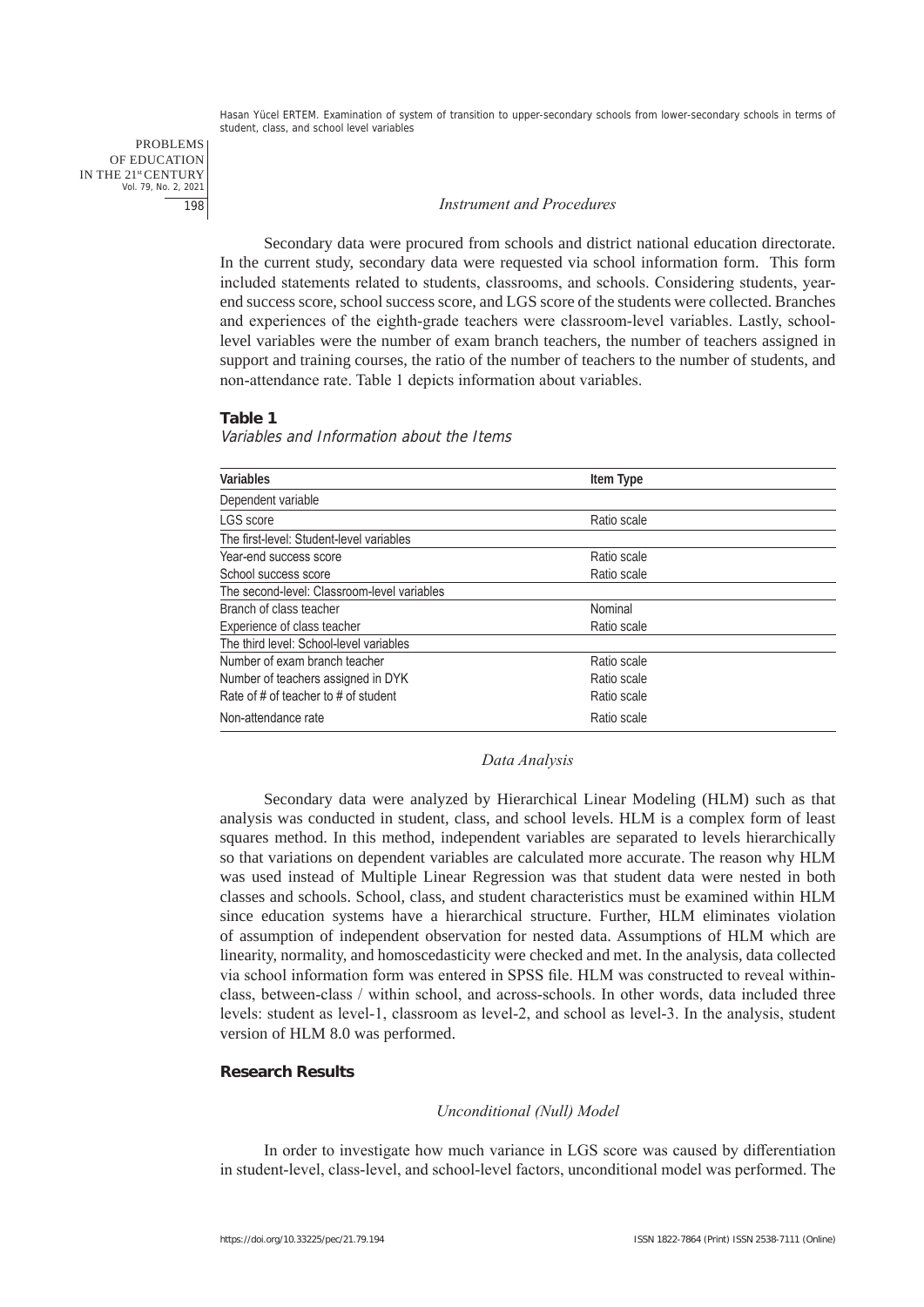PROBLEMS OF EDUCATION IN THE 21st CENTURY Vol. 79, No. 2, 2021 198

#### *Instrument and Procedures*

Secondary data were procured from schools and district national education directorate. In the current study, secondary data were requested via school information form. This form included statements related to students, classrooms, and schools. Considering students, yearend success score, school success score, and LGS score of the students were collected. Branches and experiences of the eighth-grade teachers were classroom-level variables. Lastly, schoollevel variables were the number of exam branch teachers, the number of teachers assigned in support and training courses, the ratio of the number of teachers to the number of students, and non-attendance rate. Table 1 depicts information about variables.

#### **Table 1**

## Variables and Information about the Items

| Variables                                   | Item Type   |  |
|---------------------------------------------|-------------|--|
| Dependent variable                          |             |  |
| LGS score                                   | Ratio scale |  |
| The first-level: Student-level variables    |             |  |
| Year-end success score                      | Ratio scale |  |
| School success score                        | Ratio scale |  |
| The second-level: Classroom-level variables |             |  |
| Branch of class teacher                     | Nominal     |  |
| Experience of class teacher                 | Ratio scale |  |
| The third level: School-level variables     |             |  |
| Number of exam branch teacher               | Ratio scale |  |
| Number of teachers assigned in DYK          | Ratio scale |  |
| Rate of # of teacher to # of student        | Ratio scale |  |
| Non-attendance rate                         | Ratio scale |  |

#### *Data Analysis*

Secondary data were analyzed by Hierarchical Linear Modeling (HLM) such as that analysis was conducted in student, class, and school levels. HLM is a complex form of least squares method. In this method, independent variables are separated to levels hierarchically so that variations on dependent variables are calculated more accurate. The reason why HLM was used instead of Multiple Linear Regression was that student data were nested in both classes and schools. School, class, and student characteristics must be examined within HLM since education systems have a hierarchical structure. Further, HLM eliminates violation of assumption of independent observation for nested data. Assumptions of HLM which are linearity, normality, and homoscedasticity were checked and met. In the analysis, data collected via school information form was entered in SPSS file. HLM was constructed to reveal withinclass, between-class / within school, and across-schools. In other words, data included three levels: student as level-1, classroom as level-2, and school as level-3. In the analysis, student version of HLM 8.0 was performed.

# **Research Results**

#### *Unconditional (Null) Model*

In order to investigate how much variance in LGS score was caused by differentiation in student-level, class-level, and school-level factors, unconditional model was performed. The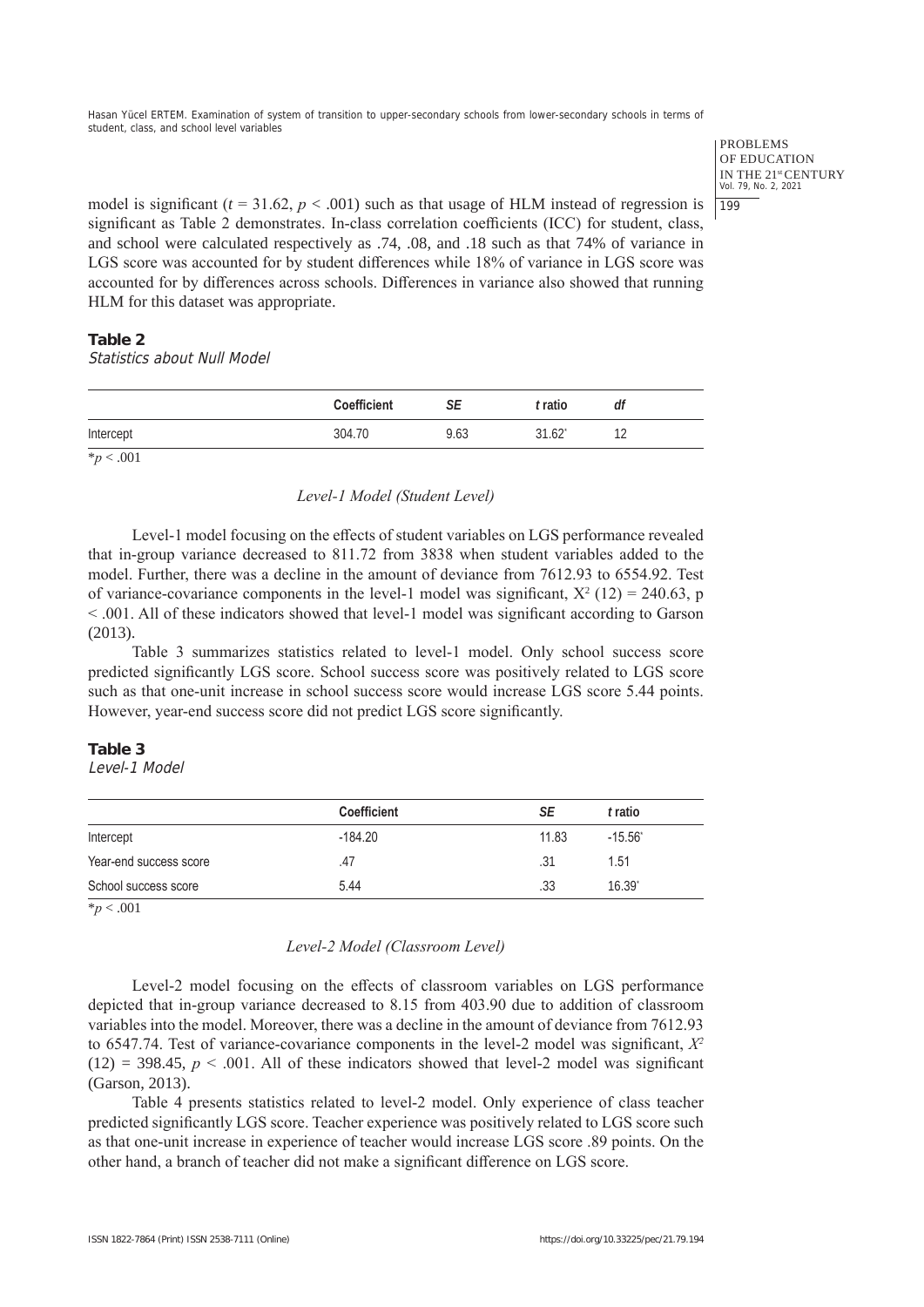> PROBLEMS OF EDUCATION IN THE 21st CENTURY Vol. 79, No. 2, 2021 199

model is significant  $(t = 31.62, p < .001)$  such as that usage of HLM instead of regression is significant as Table 2 demonstrates. In-class correlation coefficients (ICC) for student, class, and school were calculated respectively as .74, .08, and .18 such as that 74% of variance in LGS score was accounted for by student differences while 18% of variance in LGS score was accounted for by differences across schools. Differences in variance also showed that running HLM for this dataset was appropriate.

# **Table 2**

Statistics about Null Model

|                | <b>Coefficient</b> | SЕ   | t ratio              | df |
|----------------|--------------------|------|----------------------|----|
| Intercept      | 304.70             | 9.63 | $31.62$ <sup>*</sup> |    |
| $*_{p}$ < .001 |                    |      |                      |    |

*Level-1 Model (Student Level)*

Level-1 model focusing on the effects of student variables on LGS performance revealed that in-group variance decreased to 811.72 from 3838 when student variables added to the model. Further, there was a decline in the amount of deviance from 7612.93 to 6554.92. Test of variance-covariance components in the level-1 model was significant,  $X^2$  (12) = 240.63, p < .001. All of these indicators showed that level-1 model was significant according to Garson (2013).

Table 3 summarizes statistics related to level-1 model. Only school success score predicted significantly LGS score. School success score was positively related to LGS score such as that one-unit increase in school success score would increase LGS score 5.44 points. However, year-end success score did not predict LGS score significantly.

# **Table 3**

Level-1 Model

|                        | <b>Coefficient</b> | SE    | t ratio         |  |
|------------------------|--------------------|-------|-----------------|--|
| Intercept              | $-184.20$          | 11.83 | $-15.56$        |  |
| Year-end success score | .47                | .31   | 1.51            |  |
| School success score   | 5.44               | .33   | $16.39^{\circ}$ |  |
| $*_{p}$ < .001         |                    |       |                 |  |

# *Level-2 Model (Classroom Level)*

Level-2 model focusing on the effects of classroom variables on LGS performance depicted that in-group variance decreased to 8.15 from 403.90 due to addition of classroom variables into the model. Moreover, there was a decline in the amount of deviance from 7612.93 to 6547.74. Test of variance-covariance components in the level-2 model was significant, *Χ2*  $(12)$  = 398.45,  $p < .001$ . All of these indicators showed that level-2 model was significant (Garson, 2013).

Table 4 presents statistics related to level-2 model. Only experience of class teacher predicted significantly LGS score. Teacher experience was positively related to LGS score such as that one-unit increase in experience of teacher would increase LGS score .89 points. On the other hand, a branch of teacher did not make a significant difference on LGS score.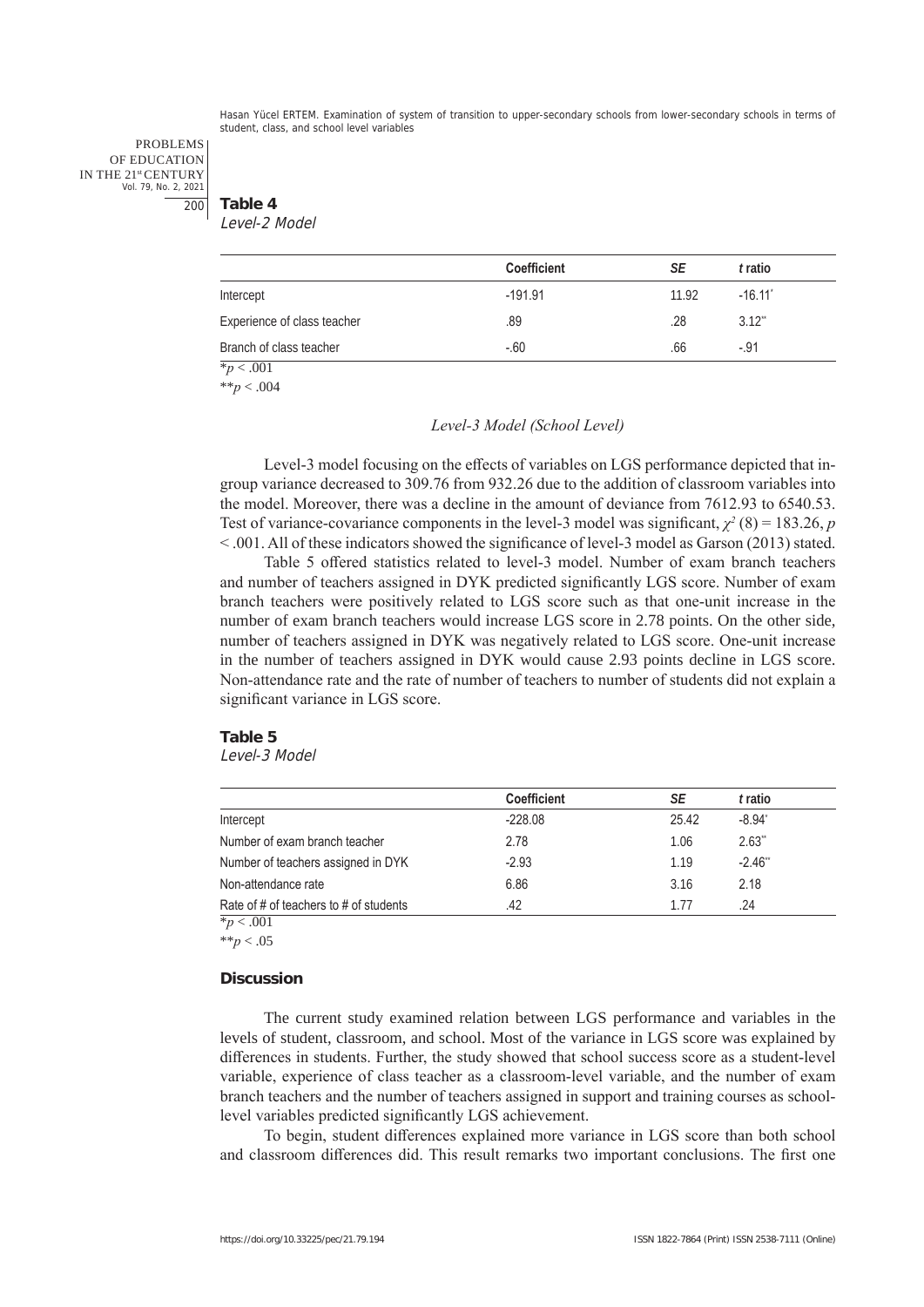PROBLEMS OF EDUCATION IN THE 21st CENTURY Vol. 79, No. 2, 2021 200

**Table 4** Level-2 Model

|                             | <b>Coefficient</b> | SE    | t ratio    |  |
|-----------------------------|--------------------|-------|------------|--|
| Intercept                   | $-191.91$          | 11.92 | $-16.11$   |  |
| Experience of class teacher | .89                | .28   | $3.12^{4}$ |  |
| Branch of class teacher     | $-.60$             | .66   | $-.91$     |  |
| $*_{p}$ < .001              |                    |       |            |  |

\*\**p* < .004

#### *Level-3 Model (School Level)*

Level-3 model focusing on the effects of variables on LGS performance depicted that ingroup variance decreased to 309.76 from 932.26 due to the addition of classroom variables into the model. Moreover, there was a decline in the amount of deviance from 7612.93 to 6540.53. Test of variance-covariance components in the level-3 model was significant,  $\chi^2$  (8) = 183.26, *p* < .001. All of these indicators showed the significance of level-3 model as Garson (2013) stated.

Table 5 offered statistics related to level-3 model. Number of exam branch teachers and number of teachers assigned in DYK predicted significantly LGS score. Number of exam branch teachers were positively related to LGS score such as that one-unit increase in the number of exam branch teachers would increase LGS score in 2.78 points. On the other side, number of teachers assigned in DYK was negatively related to LGS score. One-unit increase in the number of teachers assigned in DYK would cause 2.93 points decline in LGS score. Non-attendance rate and the rate of number of teachers to number of students did not explain a significant variance in LGS score.

#### **Table 5**

Level-3 Model

|                                        | <b>Coefficient</b> | SE    | t ratio              |  |
|----------------------------------------|--------------------|-------|----------------------|--|
| Intercept                              | $-228.08$          | 25.42 | $-8.94$ <sup>*</sup> |  |
| Number of exam branch teacher          | 2.78               | 1.06  | $2.63^{4}$           |  |
| Number of teachers assigned in DYK     | $-2.93$            | 1.19  | $-2.46$              |  |
| Non-attendance rate                    | 6.86               | 3.16  | 2.18                 |  |
| Rate of # of teachers to # of students | .42                | 1.77  | .24                  |  |

 $\frac{1}{2}p < .001$ \*\**p* < .05

#### **Discussion**

The current study examined relation between LGS performance and variables in the levels of student, classroom, and school. Most of the variance in LGS score was explained by differences in students. Further, the study showed that school success score as a student-level variable, experience of class teacher as a classroom-level variable, and the number of exam branch teachers and the number of teachers assigned in support and training courses as schoollevel variables predicted significantly LGS achievement.

To begin, student differences explained more variance in LGS score than both school and classroom differences did. This result remarks two important conclusions. The first one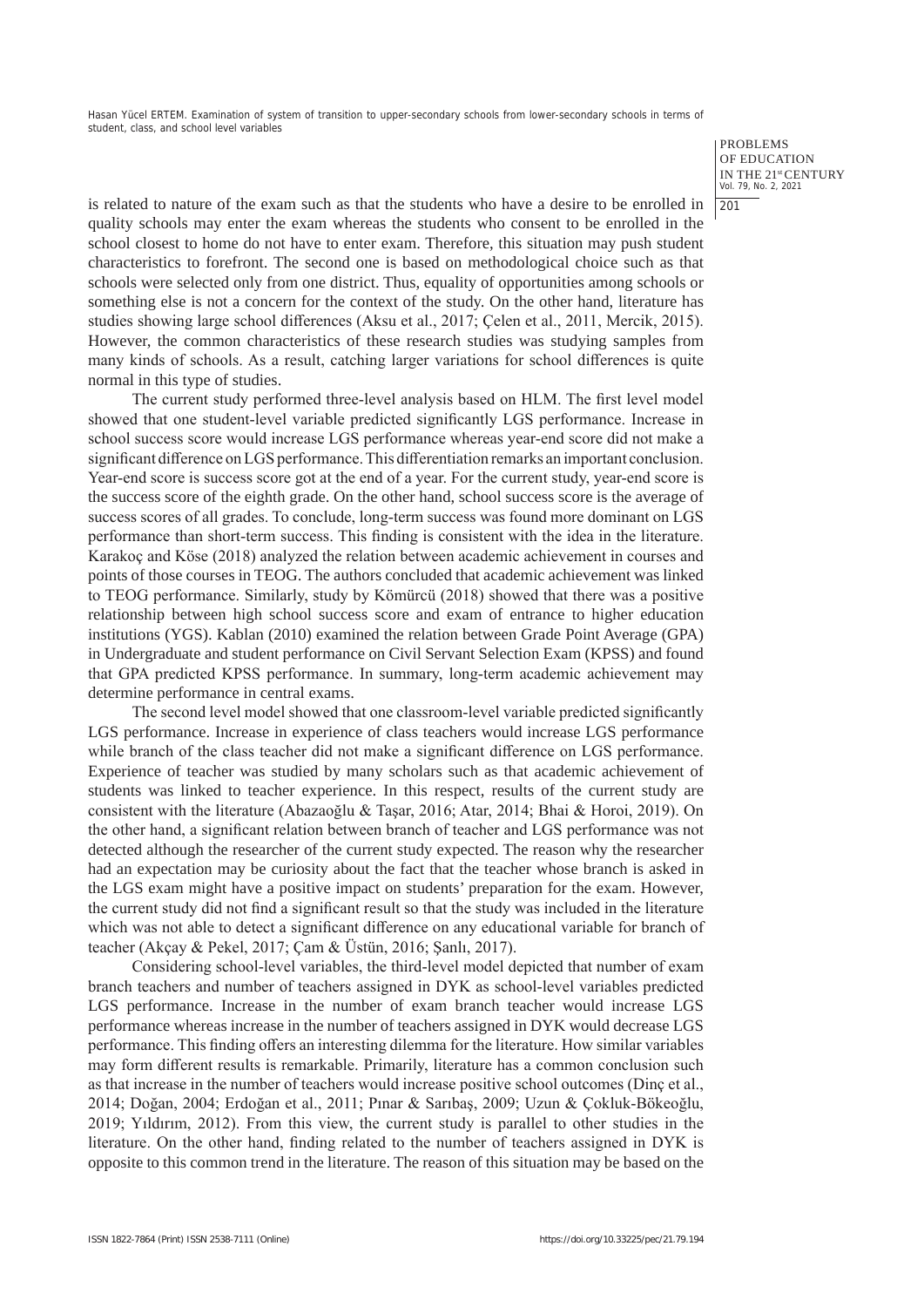> PROBLEMS OF EDUCATION IN THE 21st CENTURY Vol. 79, No. 2, 2021 201

is related to nature of the exam such as that the students who have a desire to be enrolled in quality schools may enter the exam whereas the students who consent to be enrolled in the school closest to home do not have to enter exam. Therefore, this situation may push student characteristics to forefront. The second one is based on methodological choice such as that schools were selected only from one district. Thus, equality of opportunities among schools or something else is not a concern for the context of the study. On the other hand, literature has studies showing large school differences (Aksu et al., 2017; Çelen et al., 2011, Mercik, 2015). However, the common characteristics of these research studies was studying samples from many kinds of schools. As a result, catching larger variations for school differences is quite normal in this type of studies.

The current study performed three-level analysis based on HLM. The first level model showed that one student-level variable predicted significantly LGS performance. Increase in school success score would increase LGS performance whereas year-end score did not make a significant difference on LGS performance. This differentiation remarks an important conclusion. Year-end score is success score got at the end of a year. For the current study, year-end score is the success score of the eighth grade. On the other hand, school success score is the average of success scores of all grades. To conclude, long-term success was found more dominant on LGS performance than short-term success. This finding is consistent with the idea in the literature. Karakoç and Köse (2018) analyzed the relation between academic achievement in courses and points of those courses in TEOG. The authors concluded that academic achievement was linked to TEOG performance. Similarly, study by Kömürcü (2018) showed that there was a positive relationship between high school success score and exam of entrance to higher education institutions (YGS). Kablan (2010) examined the relation between Grade Point Average (GPA) in Undergraduate and student performance on Civil Servant Selection Exam (KPSS) and found that GPA predicted KPSS performance. In summary, long-term academic achievement may determine performance in central exams.

The second level model showed that one classroom-level variable predicted significantly LGS performance. Increase in experience of class teachers would increase LGS performance while branch of the class teacher did not make a significant difference on LGS performance. Experience of teacher was studied by many scholars such as that academic achievement of students was linked to teacher experience. In this respect, results of the current study are consistent with the literature (Abazaoğlu & Taşar, 2016; Atar, 2014; Bhai & Horoi, 2019). On the other hand, a significant relation between branch of teacher and LGS performance was not detected although the researcher of the current study expected. The reason why the researcher had an expectation may be curiosity about the fact that the teacher whose branch is asked in the LGS exam might have a positive impact on students' preparation for the exam. However, the current study did not find a significant result so that the study was included in the literature which was not able to detect a significant difference on any educational variable for branch of teacher (Akçay & Pekel, 2017; Çam & Üstün, 2016; Şanlı, 2017).

Considering school-level variables, the third-level model depicted that number of exam branch teachers and number of teachers assigned in DYK as school-level variables predicted LGS performance. Increase in the number of exam branch teacher would increase LGS performance whereas increase in the number of teachers assigned in DYK would decrease LGS performance. This finding offers an interesting dilemma for the literature. How similar variables may form different results is remarkable. Primarily, literature has a common conclusion such as that increase in the number of teachers would increase positive school outcomes (Dinç et al., 2014; Doğan, 2004; Erdoğan et al., 2011; Pınar & Sarıbaş, 2009; Uzun & Çokluk-Bökeoğlu, 2019; Yıldırım, 2012). From this view, the current study is parallel to other studies in the literature. On the other hand, finding related to the number of teachers assigned in DYK is opposite to this common trend in the literature. The reason of this situation may be based on the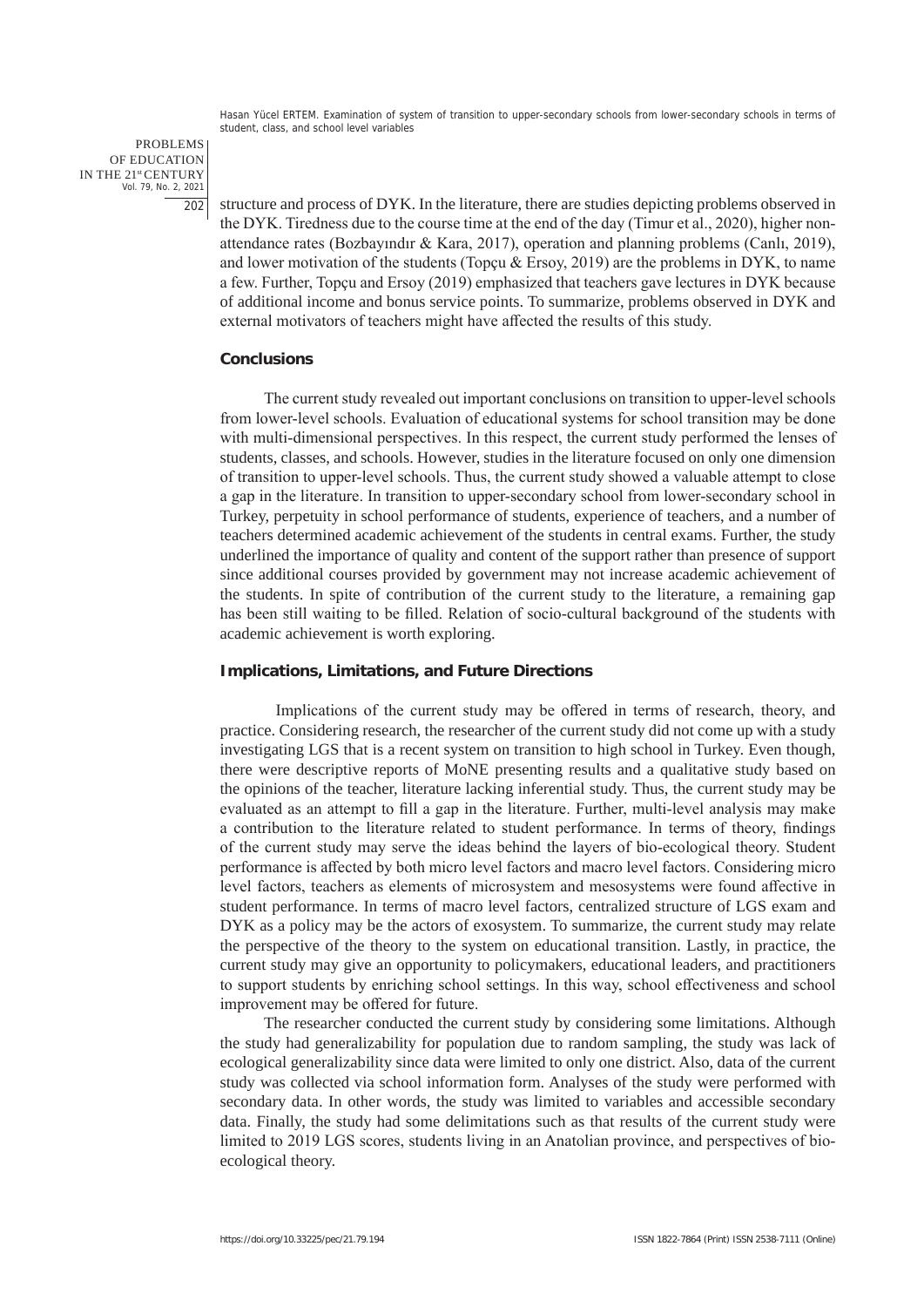PROBLEMS OF EDUCATION IN THE 21st CENTURY Vol. 79, No. 2, 2021 202

structure and process of DYK. In the literature, there are studies depicting problems observed in the DYK. Tiredness due to the course time at the end of the day (Timur et al., 2020), higher nonattendance rates (Bozbayındır & Kara, 2017), operation and planning problems (Canlı, 2019), and lower motivation of the students (Topçu & Ersoy, 2019) are the problems in DYK, to name a few. Further, Topçu and Ersoy (2019) emphasized that teachers gave lectures in DYK because of additional income and bonus service points. To summarize, problems observed in DYK and external motivators of teachers might have affected the results of this study.

#### **Conclusions**

The current study revealed out important conclusions on transition to upper-level schools from lower-level schools. Evaluation of educational systems for school transition may be done with multi-dimensional perspectives. In this respect, the current study performed the lenses of students, classes, and schools. However, studies in the literature focused on only one dimension of transition to upper-level schools. Thus, the current study showed a valuable attempt to close a gap in the literature. In transition to upper-secondary school from lower-secondary school in Turkey, perpetuity in school performance of students, experience of teachers, and a number of teachers determined academic achievement of the students in central exams. Further, the study underlined the importance of quality and content of the support rather than presence of support since additional courses provided by government may not increase academic achievement of the students. In spite of contribution of the current study to the literature, a remaining gap has been still waiting to be filled. Relation of socio-cultural background of the students with academic achievement is worth exploring.

## **Implications, Limitations, and Future Directions**

Implications of the current study may be offered in terms of research, theory, and practice. Considering research, the researcher of the current study did not come up with a study investigating LGS that is a recent system on transition to high school in Turkey. Even though, there were descriptive reports of MoNE presenting results and a qualitative study based on the opinions of the teacher, literature lacking inferential study. Thus, the current study may be evaluated as an attempt to fill a gap in the literature. Further, multi-level analysis may make a contribution to the literature related to student performance. In terms of theory, findings of the current study may serve the ideas behind the layers of bio-ecological theory. Student performance is affected by both micro level factors and macro level factors. Considering micro level factors, teachers as elements of microsystem and mesosystems were found affective in student performance. In terms of macro level factors, centralized structure of LGS exam and DYK as a policy may be the actors of exosystem. To summarize, the current study may relate the perspective of the theory to the system on educational transition. Lastly, in practice, the current study may give an opportunity to policymakers, educational leaders, and practitioners to support students by enriching school settings. In this way, school effectiveness and school improvement may be offered for future.

The researcher conducted the current study by considering some limitations. Although the study had generalizability for population due to random sampling, the study was lack of ecological generalizability since data were limited to only one district. Also, data of the current study was collected via school information form. Analyses of the study were performed with secondary data. In other words, the study was limited to variables and accessible secondary data. Finally, the study had some delimitations such as that results of the current study were limited to 2019 LGS scores, students living in an Anatolian province, and perspectives of bioecological theory.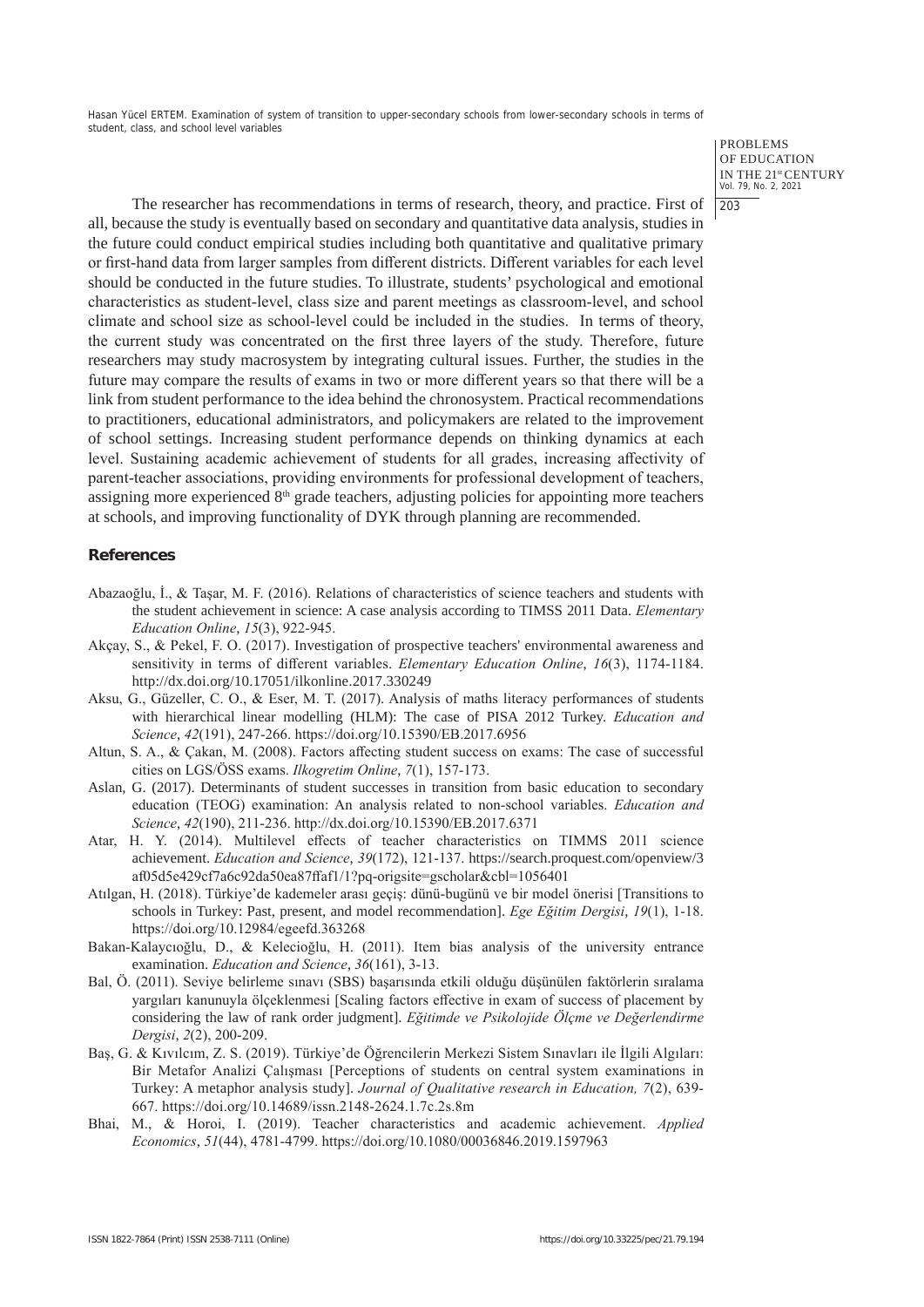> PROBLEMS OF EDUCATION IN THE 21st CENTURY Vol. 79, No. 2, 2021  $|203$

The researcher has recommendations in terms of research, theory, and practice. First of all, because the study is eventually based on secondary and quantitative data analysis, studies in the future could conduct empirical studies including both quantitative and qualitative primary or first-hand data from larger samples from different districts. Different variables for each level should be conducted in the future studies. To illustrate, students' psychological and emotional characteristics as student-level, class size and parent meetings as classroom-level, and school climate and school size as school-level could be included in the studies. In terms of theory, the current study was concentrated on the first three layers of the study. Therefore, future researchers may study macrosystem by integrating cultural issues. Further, the studies in the future may compare the results of exams in two or more different years so that there will be a link from student performance to the idea behind the chronosystem. Practical recommendations to practitioners, educational administrators, and policymakers are related to the improvement of school settings. Increasing student performance depends on thinking dynamics at each level. Sustaining academic achievement of students for all grades, increasing affectivity of parent-teacher associations, providing environments for professional development of teachers, assigning more experienced 8<sup>th</sup> grade teachers, adjusting policies for appointing more teachers at schools, and improving functionality of DYK through planning are recommended.

# **References**

- Abazaoğlu, İ., & Taşar, M. F. (2016). Relations of characteristics of science teachers and students with the student achievement in science: A case analysis according to TIMSS 2011 Data. *Elementary Education Online*, *15*(3), 922-945.
- Akçay, S., & Pekel, F. O. (2017). Investigation of prospective teachers' environmental awareness and sensitivity in terms of different variables. *Elementary Education Online*, *16*(3), 1174-1184. http://dx.doi.org/10.17051/ilkonline.2017.330249
- Aksu, G., Güzeller, C. O., & Eser, M. T. (2017). Analysis of maths literacy performances of students with hierarchical linear modelling (HLM): The case of PISA 2012 Turkey. *Education and Science*, *42*(191), 247-266. https://doi.org/10.15390/EB.2017.6956
- Altun, S. A., & Çakan, M. (2008). Factors affecting student success on exams: The case of successful cities on LGS/ÖSS exams. *Ilkogretim Online*, *7*(1), 157-173.
- Aslan, G. (2017). Determinants of student successes in transition from basic education to secondary education (TEOG) examination: An analysis related to non-school variables. *Education and Science*, *42*(190), 211-236. http://dx.doi.org/10.15390/EB.2017.6371
- Atar, H. Y. (2014). Multilevel effects of teacher characteristics on TIMMS 2011 science achievement. *Education and Science*, *39*(172), 121-137. https://search.proquest.com/openview/3 af05d5e429cf7a6c92da50ea87ffaf1/1?pq-origsite=gscholar&cbl=1056401
- Atılgan, H. (2018). Türkiye'de kademeler arası geçiş: dünü-bugünü ve bir model önerisi [Transitions to schools in Turkey: Past, present, and model recommendation]. *Ege Eğitim Dergisi*, *19*(1), 1-18. https://doi.org/10.12984/egeefd.363268
- Bakan-Kalaycıoğlu, D., & Kelecioğlu, H. (2011). Item bias analysis of the university entrance examination. *Education and Science*, *36*(161), 3-13.
- Bal, Ö. (2011). Seviye belirleme sınavı (SBS) başarısında etkili olduğu düşünülen faktörlerin sıralama yargıları kanunuyla ölçeklenmesi [Scaling factors effective in exam of success of placement by considering the law of rank order judgment]. *Eğitimde ve Psikolojide Ölçme ve Değerlendirme Dergisi*, *2*(2), 200-209.
- Baş, G. & Kıvılcım, Z. S. (2019). Türkiye'de Öğrencilerin Merkezi Sistem Sınavları ile İlgili Algıları: Bir Metafor Analizi Çalışması [Perceptions of students on central system examinations in Turkey: A metaphor analysis study]. *Journal of Qualitative research in Education, 7*(2), 639- 667. https://doi.org/10.14689/issn.2148-2624.1.7c.2s.8m
- Bhai, M., & Horoi, I. (2019). Teacher characteristics and academic achievement. *Applied Economics*, *51*(44), 4781-4799. https://doi.org/10.1080/00036846.2019.1597963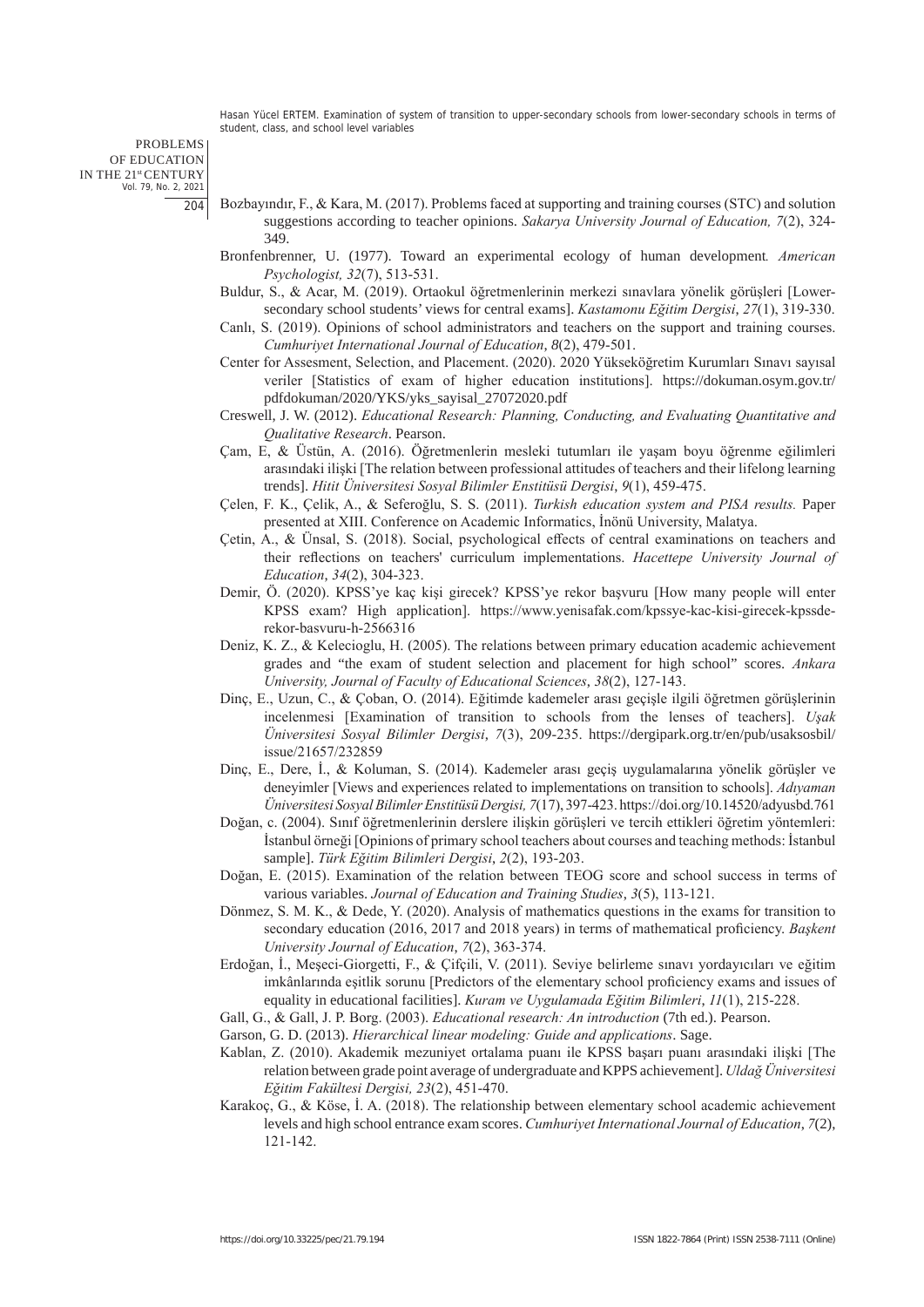PROBLEMS OF EDUCATION IN THE 21st CENTURY Vol. 79, No. 2, 2021 204

- Bozbayındır, F., & Kara, M. (2017). Problems faced at supporting and training courses (STC) and solution suggestions according to teacher opinions. *Sakarya University Journal of Education, 7*(2), 324- 349.
- Bronfenbrenner, U. (1977). Toward an experimental ecology of human development*. American Psychologist, 32*(7), 513-531.
- Buldur, S., & Acar, M. (2019). Ortaokul öğretmenlerinin merkezi sınavlara yönelik görüşleri [Lowersecondary school students' views for central exams]. *Kastamonu Eğitim Dergisi*, *27*(1), 319-330.
- Canlı, S. (2019). Opinions of school administrators and teachers on the support and training courses. *Cumhuriyet International Journal of Education*, *8*(2), 479-501.
- Center for Assesment, Selection, and Placement. (2020). 2020 Yükseköğretim Kurumları Sınavı sayısal veriler [Statistics of exam of higher education institutions]. https://dokuman.osym.gov.tr/ pdfdokuman/2020/YKS/yks\_sayisal\_27072020.pdf
- Creswell, J. W. (2012). *Educational Research: Planning, Conducting, and Evaluating Quantitative and Qualitative Research*. Pearson.
- Çam, E, & Üstün, A. (2016). Öğretmenlerin mesleki tutumları ile yaşam boyu öğrenme eğilimleri arasındaki ilişki [The relation between professional attitudes of teachers and their lifelong learning trends]. *Hitit Üniversitesi Sosyal Bilimler Enstitüsü Dergisi*, *9*(1), 459-475.
- Çelen, F. K., Çelik, A., & Seferoğlu, S. S. (2011). *Turkish education system and PISA results.* Paper presented at XIII. Conference on Academic Informatics, İnönü University, Malatya.
- Çetin, A., & Ünsal, S. (2018). Social, psychological effects of central examinations on teachers and their reflections on teachers' curriculum implementations. *Hacettepe University Journal of Education*, *34*(2), 304-323.
- Demir, Ö. (2020). KPSS'ye kaç kişi girecek? KPSS'ye rekor başvuru [How many people will enter KPSS exam? High application]. https://www.yenisafak.com/kpssye-kac-kisi-girecek-kpssderekor-basvuru-h-2566316
- Deniz, K. Z., & Kelecioglu, H. (2005). The relations between primary education academic achievement grades and "the exam of student selection and placement for high school" scores. *Ankara University, Journal of Faculty of Educational Sciences*, *38*(2), 127-143.
- Dinç, E., Uzun, C., & Çoban, O. (2014). Eğitimde kademeler arası geçişle ilgili öğretmen görüşlerinin incelenmesi [Examination of transition to schools from the lenses of teachers]. *Uşak Üniversitesi Sosyal Bilimler Dergisi*, *7*(3), 209-235. https://dergipark.org.tr/en/pub/usaksosbil/ issue/21657/232859
- Dinç, E., Dere, İ., & Koluman, S. (2014). Kademeler arası geçiş uygulamalarına yönelik görüşler ve deneyimler [Views and experiences related to implementations on transition to schools]. *Adıyaman Üniversitesi Sosyal Bilimler Enstitüsü Dergisi, 7*(17), 397-423. https://doi.org/10.14520/adyusbd.761
- Doğan, c. (2004). Sınıf öğretmenlerinin derslere ilişkin görüşleri ve tercih ettikleri öğretim yöntemleri: İstanbul örneği [Opinions of primary school teachers about courses and teaching methods: İstanbul sample]. *Türk Eğitim Bilimleri Dergisi*, *2*(2), 193-203.
- Doğan, E. (2015). Examination of the relation between TEOG score and school success in terms of various variables. *Journal of Education and Training Studies*, *3*(5), 113-121.
- Dönmez, S. M. K., & Dede, Y. (2020). Analysis of mathematics questions in the exams for transition to secondary education (2016, 2017 and 2018 years) in terms of mathematical proficiency. *Başkent University Journal of Education*, *7*(2), 363-374.
- Erdoğan, İ., Meşeci-Giorgetti, F., & Çifçili, V. (2011). Seviye belirleme sınavı yordayıcıları ve eğitim imkânlarında eşitlik sorunu [Predictors of the elementary school proficiency exams and issues of equality in educational facilities]. *Kuram ve Uygulamada Eğitim Bilimleri*, *11*(1), 215-228.
- Gall, G., & Gall, J. P. Borg. (2003). *Educational research: An introduction* (7th ed.). Pearson.
- Garson, G. D. (2013). *Hierarchical linear modeling: Guide and applications*. Sage.
- Kablan, Z. (2010). Akademik mezuniyet ortalama puanı ile KPSS başarı puanı arasındaki ilişki [The relation between grade point average of undergraduate and KPPS achievement]. *Uldağ Üniversitesi Eğitim Fakültesi Dergisi, 23*(2), 451-470.
- Karakoç, G., & Köse, İ. A. (2018). The relationship between elementary school academic achievement levels and high school entrance exam scores. *Cumhuriyet International Journal of Education*, *7*(2), 121-142.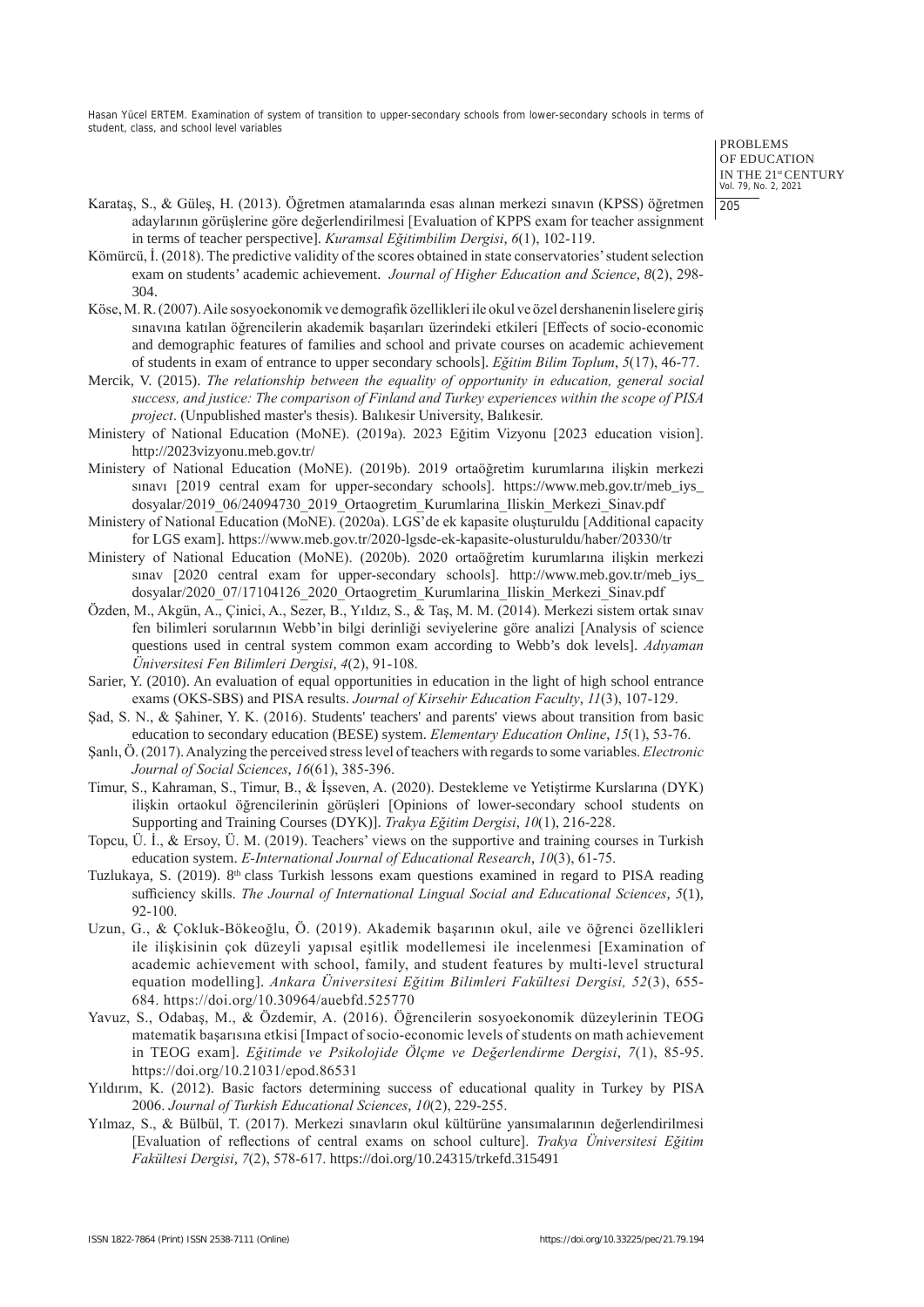> PROBLEMS OF EDUCATION IN THE 21st CENTURY Vol. 79, No. 2, 2021 205

- Karataş, S., & Güleş, H. (2013). Öğretmen atamalarında esas alınan merkezi sınavın (KPSS) öğretmen adaylarının görüşlerine göre değerlendirilmesi [Evaluation of KPPS exam for teacher assignment in terms of teacher perspective]. *Kuramsal Eğitimbilim Dergisi*, *6*(1), 102-119.
- Kömürcü, İ. (2018). The predictive validity of the scores obtained in state conservatories' student selection exam on students' academic achievement. *Journal of Higher Education and Science*, *8*(2), 298- 304.
- Köse, M. R. (2007). Aile sosyoekonomik ve demografik özellikleri ile okul ve özel dershanenin liselere giriş sınavına katılan öğrencilerin akademik başarıları üzerindeki etkileri [Effects of socio-economic and demographic features of families and school and private courses on academic achievement of students in exam of entrance to upper secondary schools]. *Eğitim Bilim Toplum*, *5*(17), 46-77.
- Mercik, V. (2015). *The relationship between the equality of opportunity in education, general social success, and justice: The comparison of Finland and Turkey experiences within the scope of PISA project*. (Unpublished master's thesis). Balıkesir University, Balıkesir.
- Ministery of National Education (MoNE). (2019a). 2023 Eğitim Vizyonu [2023 education vision]. http://2023vizyonu.meb.gov.tr/
- Ministery of National Education (MoNE). (2019b). 2019 ortaöğretim kurumlarına ilişkin merkezi sınavı [2019 central exam for upper-secondary schools]. https://www.meb.gov.tr/meb\_iys\_ dosyalar/2019\_06/24094730\_2019\_Ortaogretim\_Kurumlarina\_Iliskin\_Merkezi\_Sinav.pdf
- Ministery of National Education (MoNE). (2020a). LGS'de ek kapasite oluşturuldu [Additional capacity for LGS exam]. https://www.meb.gov.tr/2020-lgsde-ek-kapasite-olusturuldu/haber/20330/tr
- Ministery of National Education (MoNE). (2020b). 2020 ortaöğretim kurumlarına ilişkin merkezi sinav [2020 central exam for upper-secondary schools]. http://www.meb.gov.tr/meb\_iys dosyalar/2020\_07/17104126\_2020\_Ortaogretim\_Kurumlarina\_Iliskin\_Merkezi\_Sinav.pdf
- Özden, M., Akgün, A., Çinici, A., Sezer, B., Yıldız, S., & Taş, M. M. (2014). Merkezi sistem ortak sınav fen bilimleri sorularının Webb'in bilgi derinliği seviyelerine göre analizi [Analysis of science questions used in central system common exam according to Webb's dok levels]. *Adıyaman Üniversitesi Fen Bilimleri Dergisi*, *4*(2), 91-108.
- Sarier, Y. (2010). An evaluation of equal opportunities in education in the light of high school entrance exams (OKS-SBS) and PISA results. *Journal of Kirsehir Education Faculty*, *11*(3), 107-129.
- Şad, S. N., & Şahiner, Y. K. (2016). Students' teachers' and parents' views about transition from basic education to secondary education (BESE) system. *Elementary Education Online*, *15*(1), 53-76.
- Şanlı, Ö. (2017). Analyzing the perceived stress level of teachers with regards to some variables. *Electronic Journal of Social Sciences*, *16*(61), 385-396.
- Timur, S., Kahraman, S., Timur, B., & İşseven, A. (2020). Destekleme ve Yetiştirme Kurslarına (DYK) ilişkin ortaokul öğrencilerinin görüşleri [Opinions of lower-secondary school students on Supporting and Training Courses (DYK)]. *Trakya Eğitim Dergisi*, *10*(1), 216-228.
- Topcu, Ü. İ., & Ersoy, Ü. M. (2019). Teachers' views on the supportive and training courses in Turkish education system. *E-International Journal of Educational Research*, *10*(3), 61-75.
- Tuzlukaya, S. (2019). 8<sup>th</sup> class Turkish lessons exam questions examined in regard to PISA reading sufficiency skills. *The Journal of International Lingual Social and Educational Sciences*, *5*(1), 92-100.
- Uzun, G., & Çokluk-Bökeoğlu, Ö. (2019). Akademik başarının okul, aile ve öğrenci özellikleri ile ilişkisinin çok düzeyli yapısal eşitlik modellemesi ile incelenmesi [Examination of academic achievement with school, family, and student features by multi-level structural equation modelling]. *Ankara Üniversitesi Eğitim Bilimleri Fakültesi Dergisi, 52*(3), 655- 684. https://doi.org/10.30964/auebfd.525770
- Yavuz, S., Odabaş, M., & Özdemir, A. (2016). Öğrencilerin sosyoekonomik düzeylerinin TEOG matematik başarısına etkisi [Impact of socio-economic levels of students on math achievement in TEOG exam]. *Eğitimde ve Psikolojide Ölçme ve Değerlendirme Dergisi*, *7*(1), 85-95. https://doi.org/10.21031/epod.86531
- Yıldırım, K. (2012). Basic factors determining success of educational quality in Turkey by PISA 2006. *Journal of Turkish Educational Sciences*, *10*(2), 229-255.
- Yılmaz, S., & Bülbül, T. (2017). Merkezi sınavların okul kültürüne yansımalarının değerlendirilmesi [Evaluation of reflections of central exams on school culture]. *Trakya Üniversitesi Eğitim Fakültesi Dergisi*, *7*(2), 578-617. https://doi.org/10.24315/trkefd.315491